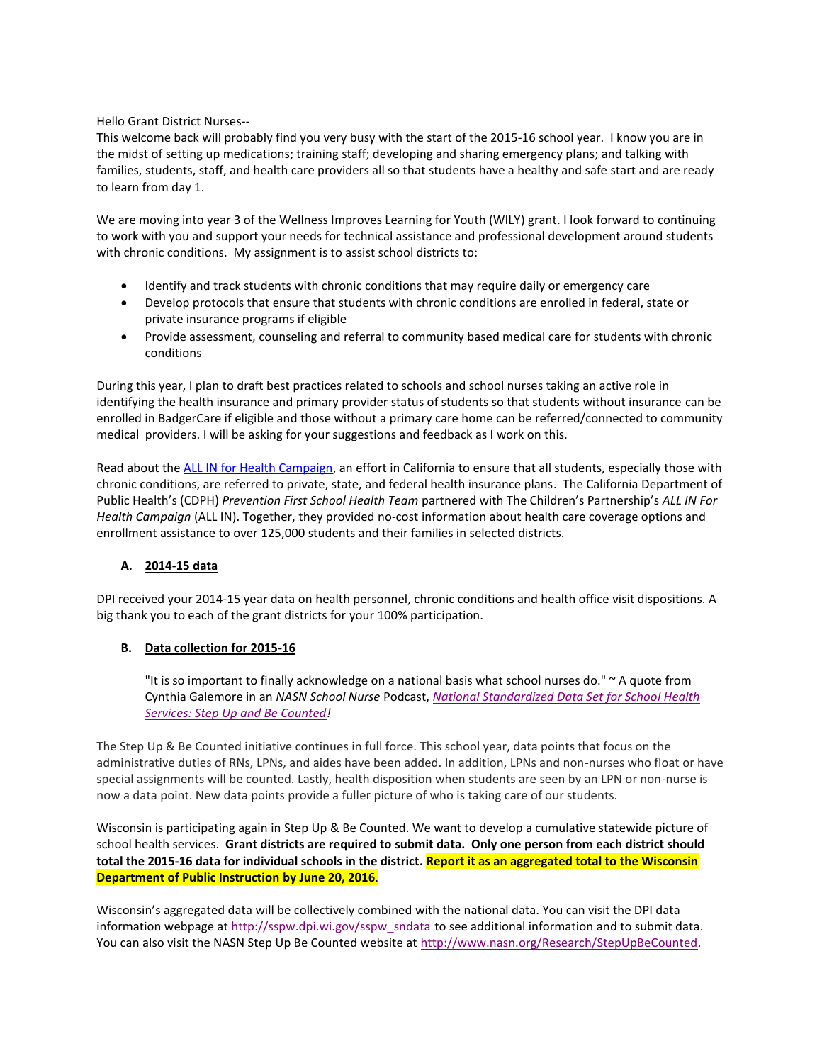Hello Grant District Nurses--

This welcome back will probably find you very busy with the start of the 2015-16 school year. I know you are in the midst of setting up medications; training staff; developing and sharing emergency plans; and talking with families, students, staff, and health care providers all so that students have a healthy and safe start and are ready to learn from day 1.

We are moving into year 3 of the Wellness Improves Learning for Youth (WILY) grant. I look forward to continuing to work with you and support your needs for technical assistance and professional development around students with chronic conditions. My assignment is to assist school districts to:

- Identify and track students with chronic conditions that may require daily or emergency care
- Develop protocols that ensure that students with chronic conditions are enrolled in federal, state or private insurance programs if eligible
- Provide assessment, counseling and referral to community based medical care for students with chronic conditions

During this year, I plan to draft best practices related to schools and school nurses taking an active role in identifying the health insurance and primary provider status of students so that students without insurance can be enrolled in BadgerCare if eligible and those without a primary care home can be referred/connected to community medical providers. I will be asking for your suggestions and feedback as I work on this.

Read about th[e ALL IN for Health Campaign,](http://www.cdph.ca.gov/programs/cdcb/Documents/Success%20Story_ALL%20IN_2015.pdf) an effort in California to ensure that all students, especially those with chronic conditions, are referred to private, state, and federal health insurance plans. The California Department of Public Health's (CDPH) *Prevention First School Health Team* partnered with The Children's Partnership's *ALL IN For Health Campaign* (ALL IN). Together, they provided no-cost information about health care coverage options and enrollment assistance to over 125,000 students and their families in selected districts.

## **A. 2014-15 data**

DPI received your 2014-15 year data on health personnel, chronic conditions and health office visit dispositions. A big thank you to each of the grant districts for your 100% participation.

## **B. Data collection for 2015-16**

"It is so important to finally acknowledge on a national basis what school nurses do." ~ A quote from Cynthia Galemore in an *NASN School Nurse* Podcast, *[National Standardized Data Set for School Health](http://r20.rs6.net/tn.jsp?f=001S_RNFIfkZfclv-vzWDcODzi3kmNJGfbFWlCCH3m2BOnvTxF2AFg_K7F69R5FI8C1iIRWxBKq4-tTHj9drmoZTNyUaLU-AC53jqf9u8iwSpg0yfrxir2uGjKf8358MEzjpiU9pLRn0-xetUbN0AWfZtfTYZ8IWuTie9uYblJFXvT4YWgKDS7yzL4RVKU2mblUvfM2Iw0f7J08BG1pIy3-FgI5yDmoVzseCaD5BAf2NJfg-y9WZNX5-zIYmeSktA1v_XndpKvzfF3yLHoH4Rz5NWXxDrWHscHASAqMbB1k_qcHscN6ms5sHbpuwIrjTr3jXrDkl1eACOugIQTpRTD1GWOErgDkqcz6&c=BsukS5OIPTJeDrjWU2aVkRhEaDajRE14QOxTYrxDOxS4Glt18jFxJA==&ch=NL4wrKprTO165ndByBehPUB5obeoc-2k5CEheKEgXWLOKA-9_y0tbQ==)  [Services: Step Up and Be Counted!](http://r20.rs6.net/tn.jsp?f=001S_RNFIfkZfclv-vzWDcODzi3kmNJGfbFWlCCH3m2BOnvTxF2AFg_K7F69R5FI8C1iIRWxBKq4-tTHj9drmoZTNyUaLU-AC53jqf9u8iwSpg0yfrxir2uGjKf8358MEzjpiU9pLRn0-xetUbN0AWfZtfTYZ8IWuTie9uYblJFXvT4YWgKDS7yzL4RVKU2mblUvfM2Iw0f7J08BG1pIy3-FgI5yDmoVzseCaD5BAf2NJfg-y9WZNX5-zIYmeSktA1v_XndpKvzfF3yLHoH4Rz5NWXxDrWHscHASAqMbB1k_qcHscN6ms5sHbpuwIrjTr3jXrDkl1eACOugIQTpRTD1GWOErgDkqcz6&c=BsukS5OIPTJeDrjWU2aVkRhEaDajRE14QOxTYrxDOxS4Glt18jFxJA==&ch=NL4wrKprTO165ndByBehPUB5obeoc-2k5CEheKEgXWLOKA-9_y0tbQ==)* 

The Step Up & Be Counted initiative continues in full force. This school year, data points that focus on the administrative duties of RNs, LPNs, and aides have been added. In addition, LPNs and non-nurses who float or have special assignments will be counted. Lastly, health disposition when students are seen by an LPN or non-nurse is now a data point. New data points provide a fuller picture of who is taking care of our students.

Wisconsin is participating again in Step Up & Be Counted. We want to develop a cumulative statewide picture of school health services. **Grant districts are required to submit data. Only one person from each district should total the 2015-16 data for individual schools in the district. Report it as an aggregated total to the Wisconsin Department of Public Instruction by June 20, 2016**.

Wisconsin's aggregated data will be collectively combined with the national data. You can visit the DPI data information webpage at [http://sspw.dpi.wi.gov/sspw\\_sndata](http://sspw.dpi.wi.gov/sspw_sndata) to see additional information and to submit data. You can also visit the NASN Step Up Be Counted website at [http://www.nasn.org/Research/StepUpBeCounted.](http://www.nasn.org/Research/StepUpBeCounted)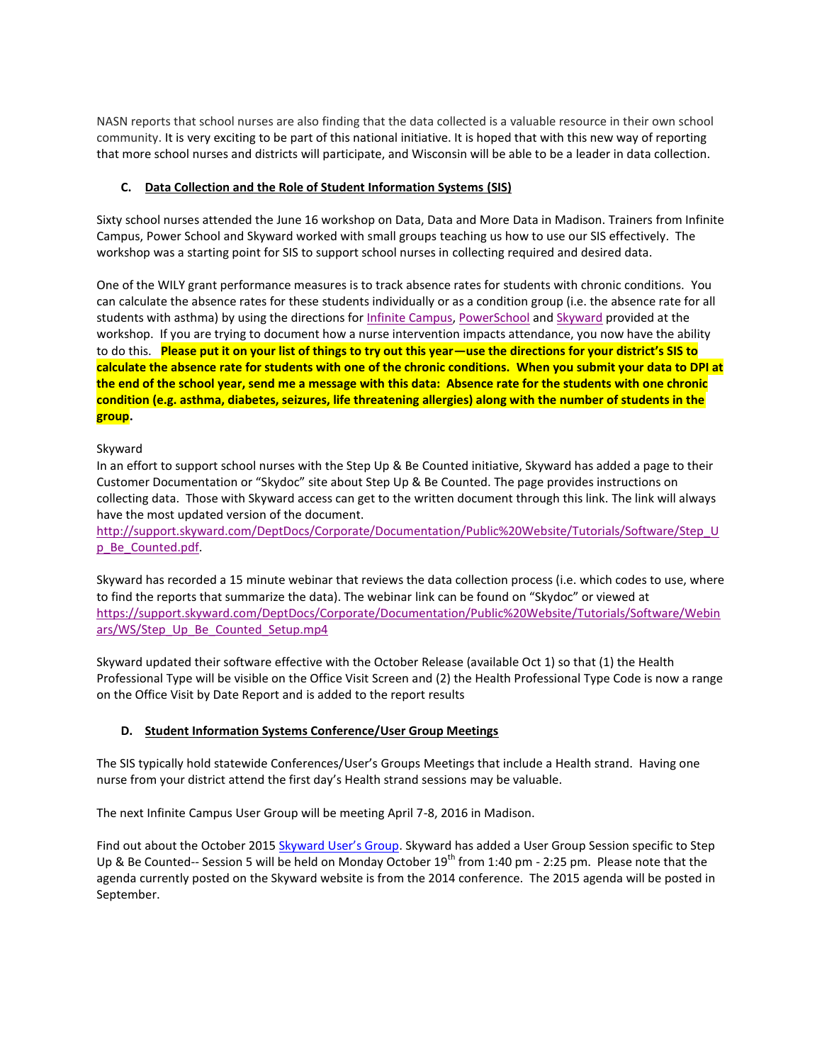NASN reports that school nurses are also finding that the data collected is a valuable resource in their own school community. It is very exciting to be part of this national initiative. It is hoped that with this new way of reporting that more school nurses and districts will participate, and Wisconsin will be able to be a leader in data collection.

# **C. Data Collection and the Role of Student Information Systems (SIS)**

Sixty school nurses attended the June 16 workshop on Data, Data and More Data in Madison. Trainers from Infinite Campus, Power School and Skyward worked with small groups teaching us how to use our SIS effectively. The workshop was a starting point for SIS to support school nurses in collecting required and desired data.

One of the WILY grant performance measures is to track absence rates for students with chronic conditions. You can calculate the absence rates for these students individually or as a condition group (i.e. the absence rate for all students with asthma) by using the directions for [Infinite Campus,](http://sspw.dpi.wi.gov/sites/default/files/imce/sspw/pdf/wilyinfinitecampusabsence.pdf) [PowerSchool](http://sspw.dpi.wi.gov/sites/default/files/imce/sspw/pdf/wilypowerschoolabsence.pdf) an[d Skyward](http://sspw.dpi.wi.gov/sites/default/files/imce/sspw/pdf/wilyskywardabsencerates.pdf) provided at the workshop. If you are trying to document how a nurse intervention impacts attendance, you now have the ability to do this. **Please put it on your list of things to try out this year—use the directions for your district's SIS to calculate the absence rate for students with one of the chronic conditions. When you submit your data to DPI at the end of the school year, send me a message with this data: Absence rate for the students with one chronic condition (e.g. asthma, diabetes, seizures, life threatening allergies) along with the number of students in the group.** 

## Skyward

In an effort to support school nurses with the Step Up & Be Counted initiative, Skyward has added a page to their Customer Documentation or "Skydoc" site about Step Up & Be Counted. The page provides instructions on collecting data. Those with Skyward access can get to the written document through this link. The link will always have the most updated version of the document.

[http://support.skyward.com/DeptDocs/Corporate/Documentation/Public%20Website/Tutorials/Software/Step\\_U](http://support.skyward.com/DeptDocs/Corporate/Documentation/Public%20Website/Tutorials/Software/Step_Up_Be_Counted.pdf) [p\\_Be\\_Counted.pdf.](http://support.skyward.com/DeptDocs/Corporate/Documentation/Public%20Website/Tutorials/Software/Step_Up_Be_Counted.pdf) 

Skyward has recorded a 15 minute webinar that reviews the data collection process (i.e. which codes to use, where to find the reports that summarize the data). The webinar link can be found on "Skydoc" or viewed at [https://support.skyward.com/DeptDocs/Corporate/Documentation/Public%20Website/Tutorials/Software/Webin](https://support.skyward.com/DeptDocs/Corporate/Documentation/Public%20Website/Tutorials/Software/Webinars/WS/Step_Up_Be_Counted_Setup.mp4) [ars/WS/Step\\_Up\\_Be\\_Counted\\_Setup.mp4](https://support.skyward.com/DeptDocs/Corporate/Documentation/Public%20Website/Tutorials/Software/Webinars/WS/Step_Up_Be_Counted_Setup.mp4)

Skyward updated their software effective with the October Release (available Oct 1) so that (1) the Health Professional Type will be visible on the Office Visit Screen and (2) the Health Professional Type Code is now a range on the Office Visit by Date Report and is added to the report results

# **D. Student Information Systems Conference/User Group Meetings**

The SIS typically hold statewide Conferences/User's Groups Meetings that include a Health strand. Having one nurse from your district attend the first day's Health strand sessions may be valuable.

The next Infinite Campus User Group will be meeting April 7-8, 2016 in Madison.

Find out about the October 2015 [Skyward User's Group](http://ftp.skyward.com/Page.ashx/Events/User-Groups). Skyward has added a User Group Session specific to Step Up & Be Counted-- Session 5 will be held on Monday October 19<sup>th</sup> from 1:40 pm - 2:25 pm. Please note that the agenda currently posted on the Skyward website is from the 2014 conference. The 2015 agenda will be posted in September.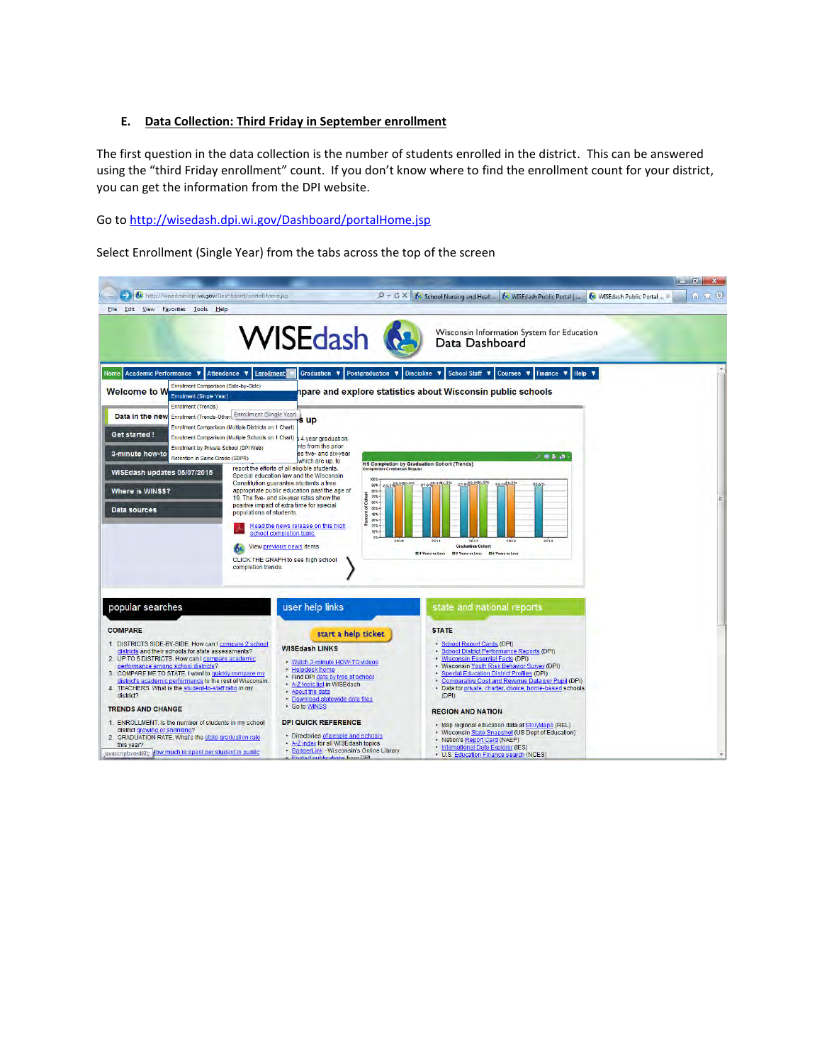### **E. Data Collection: Third Friday in September enrollment**

The first question in the data collection is the number of students enrolled in the district. This can be answered using the "third Friday enrollment" count. If you don't know where to find the enrollment count for your district, you can get the information from the DPI website.

## Go t[o http://wisedash.dpi.wi.gov/Dashboard/portalHome.jsp](http://wisedash.dpi.wi.gov/Dashboard/portalHome.jsp)

Select Enrollment (Single Year) from the tabs across the top of the screen

|                                                                                                                                                                                                                                                                                                                                                                                                                                                                                                                                                                                                                                                                                                     |                                                                                                                                                                                                                                                                                                                                                                                                                                                                                                                                                                                                                                                                                                                          |                                                                                                                                                                                                                                                                                                                                                                                                                                                                                                                                                                                                                                          | <b>Report Follow</b> |
|-----------------------------------------------------------------------------------------------------------------------------------------------------------------------------------------------------------------------------------------------------------------------------------------------------------------------------------------------------------------------------------------------------------------------------------------------------------------------------------------------------------------------------------------------------------------------------------------------------------------------------------------------------------------------------------------------------|--------------------------------------------------------------------------------------------------------------------------------------------------------------------------------------------------------------------------------------------------------------------------------------------------------------------------------------------------------------------------------------------------------------------------------------------------------------------------------------------------------------------------------------------------------------------------------------------------------------------------------------------------------------------------------------------------------------------------|------------------------------------------------------------------------------------------------------------------------------------------------------------------------------------------------------------------------------------------------------------------------------------------------------------------------------------------------------------------------------------------------------------------------------------------------------------------------------------------------------------------------------------------------------------------------------------------------------------------------------------------|----------------------|
| My http://wisedash.dpi.wi.gov/Dashboard/portalHome.jsp<br>File Edit View Favorites Tools Help                                                                                                                                                                                                                                                                                                                                                                                                                                                                                                                                                                                                       | $D - C X$                                                                                                                                                                                                                                                                                                                                                                                                                                                                                                                                                                                                                                                                                                                | 60 WISEdash Public Portal  X<br>64 School Nursing and Healt 64 WISEdash Public Portal                                                                                                                                                                                                                                                                                                                                                                                                                                                                                                                                                    | in 25 82             |
|                                                                                                                                                                                                                                                                                                                                                                                                                                                                                                                                                                                                                                                                                                     | WISEdash &                                                                                                                                                                                                                                                                                                                                                                                                                                                                                                                                                                                                                                                                                                               | Wisconsin Information System for Education<br>Data Dashboard                                                                                                                                                                                                                                                                                                                                                                                                                                                                                                                                                                             |                      |
| Home Academic Performance<br>Attendance <b>v</b><br><b>Enrollment</b><br><b>Enrollment Comparison (Side-by-Side)</b><br><b>Welcome to W</b><br><b>Enrollment (Single Year)</b><br><b>Enrollment (Trends)</b><br>Data in the new Enrolment (Trends-Other Enrollment (Single Year)<br>Enrollment Comparison (Multiple Districts on 1 Chart)<br>Get started !<br>Enrollment Comparison (Multiple Schools on 1 Chart)<br>Enrollment by Private School (DPI Web)<br>3-minute how-to<br>Retention in Same Grade (SDPR)<br>WISEdash updates 05/07/2015<br><b>Where is WINSS?</b><br>Data sources<br>populations of students.<br>completion trends.                                                         | Graduation $\Psi$<br>Postgraduation <b>v</b><br>s up<br><b>A-year graduation</b><br>nts from the prior<br>es five- and six-year<br>which are up, to<br>report the efforts of all eligible students.<br>Special education law and the Wisconsin<br>100%<br>Constitution guarantee students a free<br>90%<br>appropriate public education past the age of<br>$80.5 -$<br>of Cohort<br>70%<br>19. The five- and six-year rates show the<br>$00 -$<br>positive impact of extra time for special<br>66%-<br>Percent<br>$40X -$<br>30 <sup>2</sup><br>$205 -$<br>Read the news release on this high<br>$105 -$<br>school completion topic.<br>$05 -$<br>2010<br>View previous news items<br>CLICK THE GRAPH to see high school | Discipline <b>v</b><br>School Staff<br>Courses <b>v</b><br>Finance <b>v</b><br>Help $\blacktriangledown$<br>pare and explore statistics about Wisconsin public schools<br>- 極楽品<br><b>HS Completion by Graduation Cohort (Trends)</b><br>33.6%<br>2012<br>2014<br>2011<br>2013<br><b>Graduation Cohort</b><br><b>E4 Years or Less</b><br><b>D5 Years or Less D6 Years or Less</b>                                                                                                                                                                                                                                                        |                      |
| popular searches<br><b>COMPARE</b><br>1. DISTRICTS SIDE-BY-SIDE. How can I compare 2 school<br>districts and their schools for state assessments?<br>2. UP TO 5 DISTRICTS. How can I compare academic<br>performance among school districts?<br>3. COMPARE ME TO STATE. I want to quickly compare my<br>district's academic performance to the rest of Wisconsin.<br>4. TEACHERS. What is the student-to-staff ratio in my<br>district?<br><b>TRENDS AND CHANGE</b><br>1. ENROLLMENT. Is the number of students in my school<br>district growing or shrinking?<br>2. GRADUATION RATE. What's the state graduation rate<br>this year?<br>javascript:void(0); dow much is spent per student in public | user help links<br>start a help ticket<br><b>WISEdash LINKS</b><br>· Watch 3-minute HOW-TO videos<br>· Helpdesk home<br>. Find DPI data by type of school<br>- A-Z topic list in WISE dash<br>. About the data<br>· Download statewide data files<br>· Go to WINSS<br><b>DPI QUICK REFERENCE</b><br>· Directories of people and schools<br>- A-Z index for all WISE dash topics<br>· BadgerLink - Wisconsin's Online Library<br>Printed publications from DPI                                                                                                                                                                                                                                                            | state and national reports<br><b>STATE</b><br>School Report Cards (DPI)<br>· School District Performance Reports (DPI)<br>· Wisconsin Essential Facts (DPI)<br>. Wisconsin Youth Risk Behavior Survey (DPI)<br>Special Education District Profiles (DPI)<br>Comparative Cost and Revenue Data per Pupil (DPI)<br>· Data for private, charter, choice, home-based schools<br>(DPI)<br><b>REGION AND NATION</b><br>· Map regional education data at StoryMaps (REL)<br>· Wisconsin State Snapshot (US Dept of Education)<br>· Nation's Report Card (NAEP)<br>. International Data Explorer (IES)<br>• U.S. Education Finance search (NCES) |                      |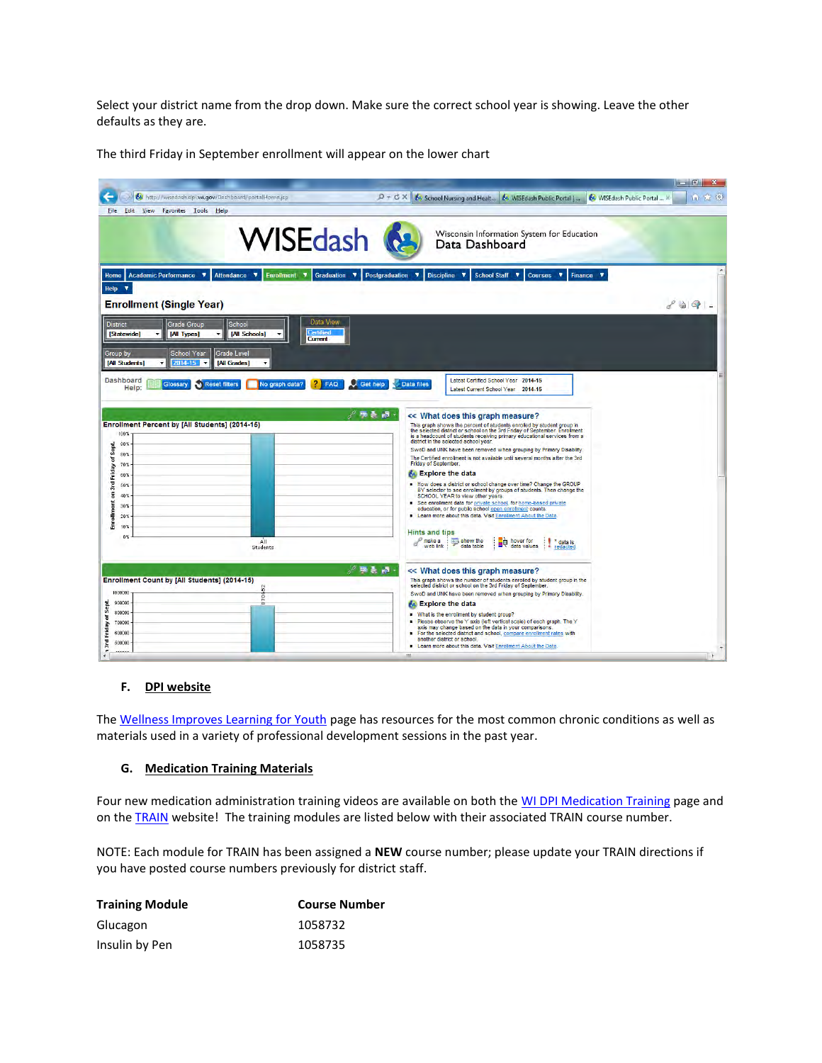Select your district name from the drop down. Make sure the correct school year is showing. Leave the other defaults as they are.

|                                                                                                               |                                                                                                                                                                                                                    | $\mathbf{x}$<br>واللحان انتصابا  |
|---------------------------------------------------------------------------------------------------------------|--------------------------------------------------------------------------------------------------------------------------------------------------------------------------------------------------------------------|----------------------------------|
| Na http://wisedash.dpi.wi.gov/Dashboard/portalHome.jsp                                                        | $D + C X$<br>MISEdash Public Portal<br>64 School Nursing and Healt<br>64 WISEdash Public Portal                                                                                                                    | 6 高 線                            |
| Edit View<br>File:<br>Favorites Tools Help                                                                    |                                                                                                                                                                                                                    |                                  |
|                                                                                                               |                                                                                                                                                                                                                    |                                  |
|                                                                                                               | <b>WISEdash</b><br>Wisconsin Information System for Education<br>Data Dashboard                                                                                                                                    |                                  |
|                                                                                                               |                                                                                                                                                                                                                    |                                  |
|                                                                                                               |                                                                                                                                                                                                                    |                                  |
| <b>Academic Performance</b><br>×<br><b>Attendance</b><br>$\overline{\mathbf{v}}$<br><b>Enrollment</b><br>Home | <b>Postgraduation</b><br><b>Discipline</b><br><b>School Staff V</b><br>$\overline{\mathbf{v}}$<br>Finance <b>v</b><br>$\overline{\mathbf{v}}$<br>Graduation<br>$\overline{\mathbf{v}}$<br>v<br>v<br><b>Courses</b> |                                  |
| $\overline{\mathbf{v}}$<br><b>Help</b>                                                                        |                                                                                                                                                                                                                    |                                  |
| <b>Enrollment (Single Year)</b>                                                                               |                                                                                                                                                                                                                    | $\mathcal{L} \otimes \mathbf{Q}$ |
|                                                                                                               | Data View                                                                                                                                                                                                          |                                  |
| <b>District</b><br>School<br><b>Grade Group</b><br>[All Schools]<br>[Statewide]<br><b>[All Types]</b>         | Certified                                                                                                                                                                                                          |                                  |
|                                                                                                               | Current                                                                                                                                                                                                            |                                  |
| <b>Grade Level</b><br><b>School Year</b><br>Group by                                                          |                                                                                                                                                                                                                    |                                  |
| [All Students]<br>2014-15<br>[All Grades]<br>٠<br>٠                                                           |                                                                                                                                                                                                                    |                                  |
| <b>Dashboard</b><br>Glossary<br><b>Reset filters</b><br>No graph data?                                        | Latest Certified School Year 2014-15<br><b>Get help</b><br><b>Data files</b><br><b>FAQ</b>                                                                                                                         |                                  |
| Help:                                                                                                         | Latest Current School Year 2014-15                                                                                                                                                                                 |                                  |
|                                                                                                               |                                                                                                                                                                                                                    |                                  |
|                                                                                                               | / 事を過・<br><< What does this graph measure?                                                                                                                                                                         |                                  |
| <b>Enrollment Percent by [All Students] (2014-15)</b>                                                         | This graph shows the percent of students enrolled by student group in<br>the selected district or school on the 3rd Friday of September. Enrollment                                                                |                                  |
| 100%                                                                                                          | is a headcount of students receiving primary educational services from a<br>district in the selected school year.                                                                                                  |                                  |
| 90%<br>Sept.<br>80%                                                                                           | SwoD and UNK have been removed when grouping by Primary Disability.                                                                                                                                                |                                  |
| ă<br>701                                                                                                      | The Certified enrollment is not available until several months after the 3rd<br><b>Friday of September.</b>                                                                                                        |                                  |
| 60%                                                                                                           | <b>A</b> Explore the data                                                                                                                                                                                          |                                  |
| 3rd Friday<br>50%                                                                                             | How does a district or school change over time? Change the GROUP                                                                                                                                                   |                                  |
| $\overline{5}$<br>$40*$                                                                                       | BY selector to see enrollment by groups of students. Then change the<br>SCHOOL YEAR to view other years.                                                                                                           |                                  |
| 30 <sup>2</sup>                                                                                               | See enrollment data for private school, for home-based private                                                                                                                                                     |                                  |
| ollment<br>20 <sub>2</sub>                                                                                    | education, or for public school open enrollment counts.<br><b>Exam more about this data. Visit Enrollment About the Data</b>                                                                                       |                                  |
| Ē<br>10.5                                                                                                     |                                                                                                                                                                                                                    |                                  |
| $0\%$<br>All                                                                                                  | <b>Hints and tips</b><br>make a<br>hover for                                                                                                                                                                       |                                  |
| Students                                                                                                      | show the<br>* data is<br>шQ<br>a<br>web link<br>data table<br>data values<br>redacted                                                                                                                              |                                  |
|                                                                                                               |                                                                                                                                                                                                                    |                                  |
|                                                                                                               | / 勝長 幅、<br><< What does this graph measure?                                                                                                                                                                        |                                  |
| Enrollment Count by [All Students] (2014-15)<br>52                                                            | This graph shows the number of students enrolled by student group in the<br>selected district or school on the 3rd Friday of September                                                                             |                                  |
| 1000000<br>흥                                                                                                  | SwoD and UNK have been removed when grouping by Primary Disability.                                                                                                                                                |                                  |
| 900000<br>èn                                                                                                  | <b>At Explore the data</b>                                                                                                                                                                                         |                                  |
| 800000<br>700000                                                                                              | . What is the enrollment by student group?<br>Please observe the Y axis (left vertical scale) of each graph. The Y                                                                                                 |                                  |
| 600000                                                                                                        | axis may change based on the data in your comparisons.                                                                                                                                                             |                                  |
| 500000                                                                                                        | For the selected district and school, compare enrollment rates with<br>another district or school.                                                                                                                 |                                  |
| <b>Alexis</b>                                                                                                 | Learn more about this data. Visit Enrollment About the Data<br>ш                                                                                                                                                   |                                  |

## **F. DPI website**

Th[e Wellness Improves Learning for Youth p](http://sspw.dpi.wi.gov/sspw_schoolhealthproject)age has resources for the most common chronic conditions as well as materials used in a variety of professional development sessions in the past year.

#### **G. Medication Training Materials**

Four new medication administration training videos are available on both the [WI DPI Medication Training p](http://sspw.dpi.wi.gov/sspw_medtraining)age and on th[e TRAIN w](https://wi.train.org/DesktopShell.aspx)ebsite! The training modules are listed below with their associated TRAIN course number.

NOTE: Each module for TRAIN has been assigned a **NEW** course number; please update your TRAIN directions if you have posted course numbers previously for district staff.

| <b>Training Module</b> | <b>Course Number</b> |
|------------------------|----------------------|
| Glucagon               | 1058732              |
| Insulin by Pen         | 1058735              |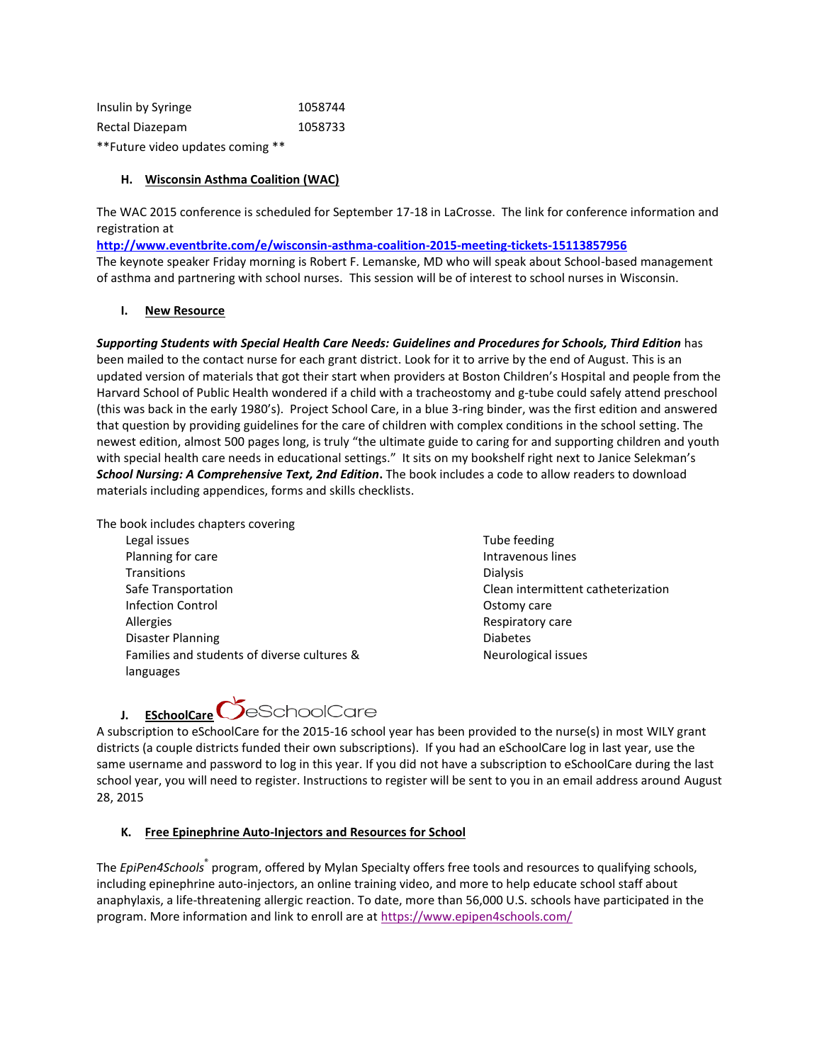| Insulin by Syringe               | 1058744 |
|----------------------------------|---------|
| Rectal Diazepam                  | 1058733 |
| **Future video updates coming ** |         |

## **H. Wisconsin Asthma Coalition (WAC)**

The WAC 2015 conference is scheduled for September 17-18 in LaCrosse. The link for conference information and registration at

**<http://www.eventbrite.com/e/wisconsin-asthma-coalition-2015-meeting-tickets-15113857956>** The keynote speaker Friday morning is Robert F. Lemanske, MD who will speak about School-based management of asthma and partnering with school nurses. This session will be of interest to school nurses in Wisconsin.

### **I. New Resource**

*Supporting Students with Special Health Care Needs: Guidelines and Procedures for Schools, Third Edition* has been mailed to the contact nurse for each grant district. Look for it to arrive by the end of August. This is an updated version of materials that got their start when providers at Boston Children's Hospital and people from the Harvard School of Public Health wondered if a child with a tracheostomy and g-tube could safely attend preschool (this was back in the early 1980's). Project School Care, in a blue 3-ring binder, was the first edition and answered that question by providing guidelines for the care of children with complex conditions in the school setting. The newest edition, almost 500 pages long, is truly "the ultimate guide to caring for and supporting children and youth with special health care needs in educational settings." It sits on my bookshelf right next to Janice Selekman's *School Nursing: A Comprehensive Text, 2nd Edition***.** The book includes a code to allow readers to download materials including appendices, forms and skills checklists.

The book includes chapters covering

Legal issues Planning for care **Transitions** Safe Transportation Infection Control Allergies Disaster Planning Families and students of diverse cultures & languages

Tube feeding Intravenous lines Dialysis Clean intermittent catheterization Ostomy care Respiratory care Diabetes Neurological issues



A subscription to eSchoolCare for the 2015-16 school year has been provided to the nurse(s) in most WILY grant districts (a couple districts funded their own subscriptions). If you had an eSchoolCare log in last year, use the same username and password to log in this year. If you did not have a subscription to eSchoolCare during the last school year, you will need to register. Instructions to register will be sent to you in an email address around August 28, 2015

## **K. Free Epinephrine Auto-Injectors and Resources for School**

The *EpiPen4Schools*® program, offered by Mylan Specialty offers free tools and resources to qualifying schools, including epinephrine auto-injectors, an online training video, and more to help educate school staff about anaphylaxis, a life-threatening allergic reaction. To date, more than 56,000 U.S. schools have participated in the program. More information and link to enroll are a[t https://www.epipen4schools.com/](https://www.epipen4schools.com/)